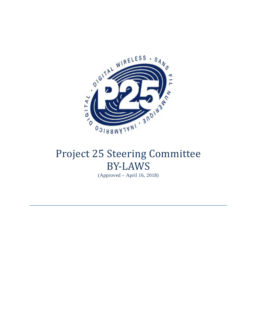

# Project 25 Steering Committee BY-LAWS

(Approved – April 16, 2018)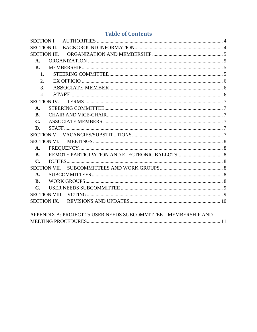# **Table of Contents**

| <b>SECTION III.</b><br>$\mathbf{A}$ .<br><b>B.</b><br>1.<br>2.<br>3.<br>$\overline{4}$ .<br><b>SECTION IV.</b><br>$\mathbf{A}$ .<br><b>B.</b><br>$\mathbf{C}$ .<br>D.<br>$\mathbf{A}$ .<br><b>B.</b><br>$C_{\bullet}$<br>$\mathbf{A}$ .<br>$C_{\bullet}$<br>APPENDIX A: PROJECT 25 USER NEEDS SUBCOMMITTEE - MEMBERSHIP AND |  |  |
|-----------------------------------------------------------------------------------------------------------------------------------------------------------------------------------------------------------------------------------------------------------------------------------------------------------------------------|--|--|
|                                                                                                                                                                                                                                                                                                                             |  |  |
|                                                                                                                                                                                                                                                                                                                             |  |  |
|                                                                                                                                                                                                                                                                                                                             |  |  |
|                                                                                                                                                                                                                                                                                                                             |  |  |
|                                                                                                                                                                                                                                                                                                                             |  |  |
|                                                                                                                                                                                                                                                                                                                             |  |  |
|                                                                                                                                                                                                                                                                                                                             |  |  |
|                                                                                                                                                                                                                                                                                                                             |  |  |
|                                                                                                                                                                                                                                                                                                                             |  |  |
|                                                                                                                                                                                                                                                                                                                             |  |  |
|                                                                                                                                                                                                                                                                                                                             |  |  |
|                                                                                                                                                                                                                                                                                                                             |  |  |
|                                                                                                                                                                                                                                                                                                                             |  |  |
|                                                                                                                                                                                                                                                                                                                             |  |  |
|                                                                                                                                                                                                                                                                                                                             |  |  |
|                                                                                                                                                                                                                                                                                                                             |  |  |
|                                                                                                                                                                                                                                                                                                                             |  |  |
|                                                                                                                                                                                                                                                                                                                             |  |  |
|                                                                                                                                                                                                                                                                                                                             |  |  |
|                                                                                                                                                                                                                                                                                                                             |  |  |
|                                                                                                                                                                                                                                                                                                                             |  |  |
|                                                                                                                                                                                                                                                                                                                             |  |  |
|                                                                                                                                                                                                                                                                                                                             |  |  |
|                                                                                                                                                                                                                                                                                                                             |  |  |
|                                                                                                                                                                                                                                                                                                                             |  |  |
|                                                                                                                                                                                                                                                                                                                             |  |  |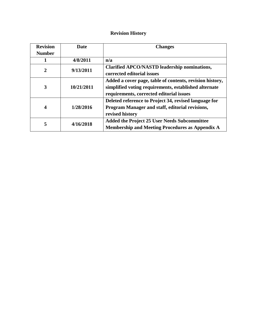# **Revision History**

| <b>Revision</b>  | Date       | <b>Changes</b>                                           |
|------------------|------------|----------------------------------------------------------|
| <b>Number</b>    |            |                                                          |
|                  | 4/8/2011   | n/a                                                      |
| $\overline{2}$   | 9/13/2011  | Clarified APCO/NASTD leadership nominations,             |
|                  |            | corrected editorial issues                               |
|                  | 10/21/2011 | Added a cover page, table of contents, revision history, |
| 3                |            | simplified voting requirements, established alternate    |
|                  |            | requirements, corrected editorial issues                 |
|                  | 1/28/2016  | Deleted reference to Project 34, revised language for    |
| $\boldsymbol{4}$ |            | Program Manager and staff, editorial revisions,          |
|                  |            | revised history                                          |
|                  | 4/16/2018  | <b>Added the Project 25 User Needs Subcommittee</b>      |
| 5                |            | <b>Membership and Meeting Procedures as Appendix A</b>   |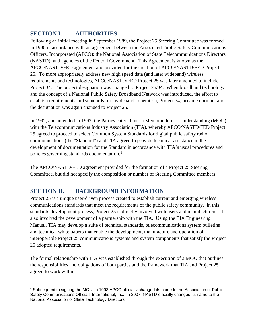# <span id="page-3-0"></span>**SECTION I. AUTHORITIES**

Following an initial meeting in September 1989, the Project 25 Steering Committee was formed in 1990 in accordance with an agreement between the Associated Public-Safety Communications Officers, Incorporated (APCO); the National Association of State Telecommunications Directors (NASTD); and agencies of the Federal Government. This Agreement is known as the APCO/NASTD/FED agreement and provided for the creation of APCO/NASTD/FED Project 25. To more appropriately address new high speed data (and later wideband) wireless requirements and technologies, APCO/NASTD/FED Project 25 was later amended to include Project 34. The project designation was changed to Project 25/34. When broadband technology and the concept of a National Public Safety Broadband Network was introduced, the effort to establish requirements and standards for "wideband" operation, Project 34, became dormant and the designation was again changed to Project 25.

In 1992, and amended in 1993, the Parties entered into a Memorandum of Understanding (MOU) with the Telecommunications Industry Association (TIA), whereby APCO/NASTD/FED Project 25 agreed to proceed to select Common System Standards for digital public safety radio communications (the "Standard") and TIA agreed to provide technical assistance in the development of documentation for the Standard in accordance with TIA's usual procedures and policies governing standards documentation.<sup>[1](#page-3-2)</sup>

The APCO/NASTD/FED agreement provided for the formation of a Project 25 Steering Committee, but did not specify the composition or number of Steering Committee members.

# <span id="page-3-1"></span>**SECTION II. BACKGROUND INFORMATION**

Project 25 is a unique user-driven process created to establish current and emerging wireless communications standards that meet the requirements of the public safety community. In this standards development process, Project 25 is directly involved with users and manufacturers. It also involved the development of a partnership with the TIA. Using the TIA Engineering Manual, TIA may develop a suite of technical standards, telecommunications system bulletins and technical white papers that enable the development, manufacture and operation of interoperable Project 25 communications systems and system components that satisfy the Project 25 adopted requirements.

The formal relationship with TIA was established through the execution of a MOU that outlines the responsibilities and obligations of both parties and the framework that TIA and Project 25 agreed to work within.

<span id="page-3-2"></span> $\overline{a}$ <sup>1</sup> Subsequent to signing the MOU, in 1993 APCO officially changed its name to the Association of Public-Safety Communications Officials-International, Inc. In 2007, NASTD officially changed its name to the National Association of State Technology Directors.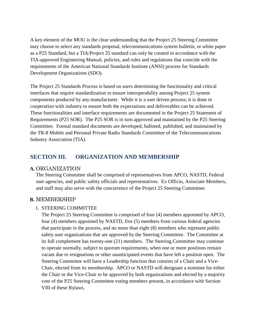A key element of the MOU is the clear understanding that the Project 25 Steering Committee may choose to select any standards proposal, telecommunications system bulletin, or white paper as a P25 Standard, but a TIA/Project 25 standard can only be created in accordance with the TIA-approved Engineering Manual, policies, and rules and regulations that coincide with the requirements of the American National Standards Institute (ANSI) process for Standards Development Organizations (SDO).

The Project 25 Standards Process is based on users determining the functionality and critical interfaces that require standardization to ensure interoperability among Project 25 system components produced by any manufacturer. While it is a user driven process, it is done in cooperation with industry to ensure both the expectations and deliverables can be achieved. These functionalities and interface requirements are documented in the Project 25 Statement of Requirements (P25 SOR). The P25 SOR is in turn approved and maintained by the P25 Steering Committee. Formal standard documents are developed, balloted, published, and maintained by the TR-8 Mobile and Personal Private Radio Standards Committee of the Telecommunications Industry Association (TIA).

# <span id="page-4-0"></span>**SECTION III. ORGANIZATION AND MEMBERSHIP**

#### <span id="page-4-1"></span>**A.** ORGANIZATION

The Steering Committee shall be comprised of representatives from APCO, NASTD, Federal user agencies, and public safety officials and representatives. Ex Officio, Associate Members, and staff may also serve with the concurrence of the Project 25 Steering Committee.

# <span id="page-4-3"></span><span id="page-4-2"></span>**B.** MEMBERSHIP

#### 1. STEERING COMMITTEE

The Project 25 Steering Committee is comprised of four (4) members appointed by APCO, four (4) members appointed by NASTD, five (5) members from various federal agencies that participate in the process, and no more than eight (8) members who represent public safety user organizations that are approved by the Steering Committee. The Committee at its full complement has twenty-one (21) members. The Steering Committee may continue to operate normally, subject to quorum requirements, when one or more positions remain vacant due to resignations or other unanticipated events that have left a position open. The Steering Committee will have a Leadership function that consists of a Chair and a Vice-Chair, elected from its membership. APCO or NASTD will designate a nominee for either the Chair or the Vice-Chair to be approved by both organizations and elected by a majority vote of the P25 Steering Committee voting members present, in accordance with Section VIII of these Bylaws.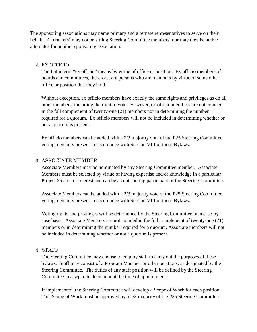The sponsoring associations may name primary and alternate representatives to serve on their behalf. Alternate(s) may not be sitting Steering Committee members, nor may they be active alternates for another sponsoring association.

#### <span id="page-5-0"></span>2. EX OFFICIO

The Latin term "ex officio" means by virtue of office or position. Ex officio members of boards and committees, therefore, are persons who are members by virtue of some other office or position that they hold.

Without exception, ex officio members have exactly the same rights and privileges as do all other members, including the right to vote. However, ex officio members are not counted in the full complement of twenty-one (21) members nor in determining the number required for a quorum. Ex officio members will not be included in determining whether or not a quorum is present.

Ex officio members can be added with a 2/3 majority vote of the P25 Steering Committee voting members present in accordance with Section VIII of these Bylaws.

#### <span id="page-5-1"></span>3. ASSOCIATE MEMBER

Associate Members may be nominated by any Steering Committee member. Associate Members must be selected by virtue of having expertise and/or knowledge in a particular Project 25 area of interest and can be a contributing participant of the Steering Committee.

Associate Members can be added with a 2/3 majority vote of the P25 Steering Committee voting members present in accordance with Section VIII of these Bylaws.

Voting rights and privileges will be determined by the Steering Committee on a case-bycase basis. Associate Members are not counted in the full complement of twenty-one (21) members or in determining the number required for a quorum. Associate members will not be included in determining whether or not a quorum is present.

#### <span id="page-5-2"></span>4. STAFF

The Steering Committee may choose to employ staff to carry out the purposes of these bylaws. Staff may consist of a Program Manager or other positions, as designated by the Steering Committee. The duties of any staff position will be defined by the Steering Committee in a separate document at the time of appointment.

If implemented, the Steering Committee will develop a Scope of Work for each position. This Scope of Work must be approved by a 2/3 majority of the P25 Steering Committee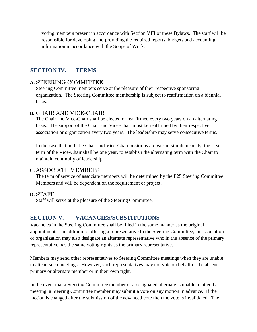voting members present in accordance with Section VIII of these Bylaws. The staff will be responsible for developing and providing the required reports, budgets and accounting information in accordance with the Scope of Work.

# <span id="page-6-0"></span>**SECTION IV. TERMS**

# <span id="page-6-1"></span>**A.** STEERING COMMITTEE

Steering Committee members serve at the pleasure of their respective sponsoring organization. The Steering Committee membership is subject to reaffirmation on a biennial basis.

## <span id="page-6-2"></span>**B.** CHAIR AND VICE-CHAIR

The Chair and Vice-Chair shall be elected or reaffirmed every two years on an alternating basis. The support of the Chair and Vice-Chair must be reaffirmed by their respective association or organization every two years. The leadership may serve consecutive terms.

In the case that both the Chair and Vice-Chair positions are vacant simultaneously, the first term of the Vice-Chair shall be one year, to establish the alternating term with the Chair to maintain continuity of leadership.

## <span id="page-6-3"></span>**C.** ASSOCIATE MEMBERS

The term of service of associate members will be determined by the P25 Steering Committee Members and will be dependent on the requirement or project.

## <span id="page-6-4"></span>**D.** STAFF

<span id="page-6-5"></span>Staff will serve at the pleasure of the Steering Committee.

# **SECTION V. VACANCIES/SUBSTITUTIONS**

Vacancies in the Steering Committee shall be filled in the same manner as the original appointments. In addition to offering a representative to the Steering Committee, an association or organization may also designate an alternate representative who in the absence of the primary representative has the same voting rights as the primary representative.

Members may send other representatives to Steering Committee meetings when they are unable to attend such meetings. However, such representatives may not vote on behalf of the absent primary or alternate member or in their own right.

In the event that a Steering Committee member or a designated alternate is unable to attend a meeting, a Steering Committee member may submit a vote on any motion in advance. If the motion is changed after the submission of the advanced vote then the vote is invalidated. The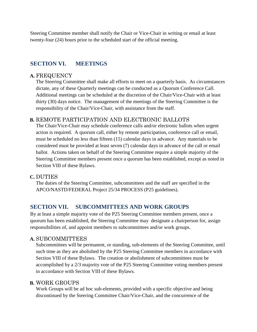Steering Committee member shall notify the Chair or Vice-Chair in writing or email at least twenty-four (24) hours prior to the scheduled start of the official meeting.

# <span id="page-7-0"></span>**SECTION VI. MEETINGS**

# <span id="page-7-1"></span>**A.** FREQUENCY

The Steering Committee shall make all efforts to meet on a quarterly basis. As circumstances dictate, any of these Quarterly meetings can be conducted as a Quorum Conference Call. Additional meetings can be scheduled at the discretion of the Chair/Vice-Chair with at least thirty (30) days notice. The management of the meetings of the Steering Committee is the responsibility of the Chair/Vice-Chair, with assistance from the staff.

# <span id="page-7-2"></span>**B.** REMOTE PARTICIPATION AND ELECTRONIC BALLOTS

The Chair/Vice-Chair may schedule conference calls and/or electronic ballots when urgent action is required. A quorum call, either by remote participation, conference call or email, must be scheduled no less than fifteen (15) calendar days in advance. Any materials to be considered must be provided at least seven (7) calendar days in advance of the call or email ballot. Actions taken on behalf of the Steering Committee require a simple majority of the Steering Committee members present once a quorum has been established, except as noted in Section VIII of these Bylaws.

## <span id="page-7-3"></span>**C.** DUTIES

The duties of the Steering Committee, subcommittees and the staff are specified in the APCO/NASTD/FEDERAL Project 25/34 PROCESS (P25 guidelines).

# <span id="page-7-4"></span>**SECTION VII. SUBCOMMITTEES AND WORK GROUPS**

By at least a simple majority vote of the P25 Steering Committee members present, once a quorum has been established, the Steering Committee may designate a chairperson for, assign responsibilities of, and appoint members to subcommittees and/or work groups.

## <span id="page-7-5"></span>**A.** SUBCOMMITTEES

Subcommittees will be permanent, or standing, sub-elements of the Steering Committee, until such time as they are abolished by the P25 Steering Committee members in accordance with Section VIII of these Bylaws. The creation or abolishment of subcommittees must be accomplished by a 2/3 majority vote of the P25 Steering Committee voting members present in accordance with Section VIII of these Bylaws.

## <span id="page-7-6"></span>**B.** WORK GROUPS

Work Groups will be ad hoc sub-elements, provided with a specific objective and being discontinued by the Steering Committee Chair/Vice-Chair, and the concurrence of the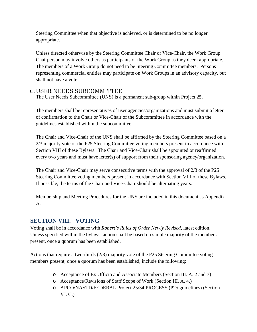Steering Committee when that objective is achieved, or is determined to be no longer appropriate.

Unless directed otherwise by the Steering Committee Chair or Vice-Chair, the Work Group Chairperson may involve others as participants of the Work Group as they deem appropriate. The members of a Work Group do not need to be Steering Committee members. Persons representing commercial entities may participate on Work Groups in an advisory capacity, but shall not have a vote.

# <span id="page-8-0"></span>**C.** USER NEEDS SUBCOMMITTEE

The User Needs Subcommittee (UNS) is a permanent sub-group within Project 25.

The members shall be representatives of user agencies/organizations and must submit a letter of confirmation to the Chair or Vice-Chair of the Subcommittee in accordance with the guidelines established within the subcommittee.

The Chair and Vice-Chair of the UNS shall be affirmed by the Steering Committee based on a 2/3 majority vote of the P25 Steering Committee voting members present in accordance with Section VIII of these Bylaws. The Chair and Vice-Chair shall be appointed or reaffirmed every two years and must have letter(s) of support from their sponsoring agency/organization.

The Chair and Vice-Chair may serve consecutive terms with the approval of 2/3 of the P25 Steering Committee voting members present in accordance with Section VIII of these Bylaws. If possible, the terms of the Chair and Vice-Chair should be alternating years.

Membership and Meeting Procedures for the UNS are included in this document as Appendix A.

# <span id="page-8-1"></span>**SECTION VIII. VOTING**

Voting shall be in accordance with *Robert's Rules of Order Newly Revised*, latest edition. Unless specified within the bylaws, action shall be based on simple majority of the members present, once a quorum has been established.

Actions that require a two-thirds (2/3) majority vote of the P25 Steering Committee voting members present, once a quorum has been established, include the following:

- o Acceptance of Ex Officio and Associate Members (Section III. A. 2 and 3)
- o Acceptance/Revisions of Staff Scope of Work (Section III. A. 4.)
- o APCO/NASTD/FEDERAL Project 25/34 PROCESS (P25 guidelines) (Section VI. C.)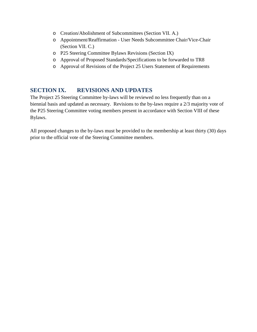- o Creation/Abolishment of Subcommittees (Section VII. A.)
- o Appointment/Reaffirmation User Needs Subcommittee Chair/Vice-Chair (Section VII. C.)
- o P25 Steering Committee Bylaws Revisions (Section IX)
- o Approval of Proposed Standards/Specifications to be forwarded to TR8
- <span id="page-9-0"></span>o Approval of Revisions of the Project 25 Users Statement of Requirements

# **SECTION IX. REVISIONS AND UPDATES**

The Project 25 Steering Committee by-laws will be reviewed no less frequently than on a biennial basis and updated as necessary. Revisions to the by-laws require a 2/3 majority vote of the P25 Steering Committee voting members present in accordance with Section VIII of these Bylaws.

All proposed changes to the by-laws must be provided to the membership at least thirty (30) days prior to the official vote of the Steering Committee members.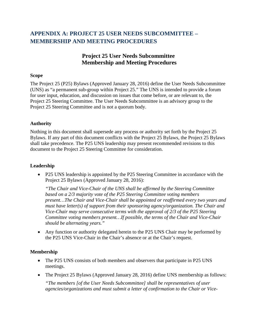# <span id="page-10-0"></span>**APPENDIX A: PROJECT 25 USER NEEDS SUBCOMMITTEE – MEMBERSHIP AND MEETING PROCEDURES**

# **Project 25 User Needs Subcommittee Membership and Meeting Procedures**

#### **Scope**

The Project 25 (P25) Bylaws (Approved January 28, 2016) define the User Needs Subcommittee (UNS) as "a permanent sub-group within Project 25." The UNS is intended to provide a forum for user input, education, and discussion on issues that come before, or are relevant to, the Project 25 Steering Committee. The User Needs Subcommittee is an advisory group to the Project 25 Steering Committee and is not a quorum body.

#### **Authority**

Nothing in this document shall supersede any process or authority set forth by the Project 25 Bylaws. If any part of this document conflicts with the Project 25 Bylaws, the Project 25 Bylaws shall take precedence. The P25 UNS leadership may present recommended revisions to this document to the Project 25 Steering Committee for consideration.

#### **Leadership**

• P25 UNS leadership is appointed by the P25 Steering Committee in accordance with the Project 25 Bylaws (Approved January 28, 2016):

*"The Chair and Vice-Chair of the UNS shall be affirmed by the Steering Committee based on a 2/3 majority vote of the P25 Steering Committee voting members present…The Chair and Vice-Chair shall be appointed or reaffirmed every two years and must have letter(s) of support from their sponsoring agency/organization. The Chair and Vice-Chair may serve consecutive terms with the approval of 2/3 of the P25 Steering Committee voting members present…If possible, the terms of the Chair and Vice-Chair should be alternating years."* 

• Any function or authority delegated herein to the P25 UNS Chair may be performed by the P25 UNS Vice-Chair in the Chair's absence or at the Chair's request.

#### **Membership**

- The P25 UNS consists of both members and observers that participate in P25 UNS meetings.
- The Project 25 Bylaws (Approved January 28, 2016) define UNS membership as follows:

*"The members [of the User Needs Subcommittee] shall be representatives of user agencies/organizations and must submit a letter of confirmation to the Chair or Vice-*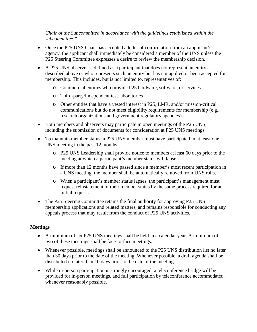*Chair of the Subcommittee in accordance with the guidelines established within the subcommittee."* 

- Once the P25 UNS Chair has accepted a letter of confirmation from an applicant's agency, the applicant shall immediately be considered a member of the UNS unless the P25 Steering Committee expresses a desire to review the membership decision.
- A P25 UNS observer is defined as a participant that does not represent an entity as described above or who represents such an entity but has not applied or been accepted for membership. This includes, but is not limited to, representatives of:
	- o Commercial entities who provide P25 hardware, software, or services
	- o Third-party/independent test laboratories
	- o Other entities that have a vested interest in P25, LMR, and/or mission-critical communications but do not meet eligibility requirements for membership (e.g., research organizations and government regulatory agencies)
- Both members and observers may participate in open meetings of the P25 UNS, including the submission of documents for consideration at P25 UNS meetings.
- To maintain member status, a P25 UNS member must have participated in at least one UNS meeting in the past 12 months.
	- o P25 UNS Leadership shall provide notice to members at least 60 days prior to the meeting at which a participant's member status will lapse.
	- o If more than 12 months have passed since a member's most recent participation in a UNS meeting, the member shall be automatically removed from UNS rolls.
	- o When a participant's member status lapses, the participant's management must request reinstatement of their member status by the same process required for an initial request.
- The P25 Steering Committee retains the final authority for approving P25 UNS membership applications and related matters, and remains responsible for conducting any appeals process that may result from the conduct of P25 UNS activities.

## **Meetings**

- A minimum of six P25 UNS meetings shall be held in a calendar year. A minimum of two of these meetings shall be face-to-face meetings.
- Whenever possible, meetings shall be announced to the P25 UNS distribution list no later than 30 days prior to the date of the meeting. Whenever possible, a draft agenda shall be distributed no later than 10 days prior to the date of the meeting.
- While in-person participation is strongly encouraged, a teleconference bridge will be provided for in-person meetings, and full participation by teleconference accommodated, whenever reasonably possible.